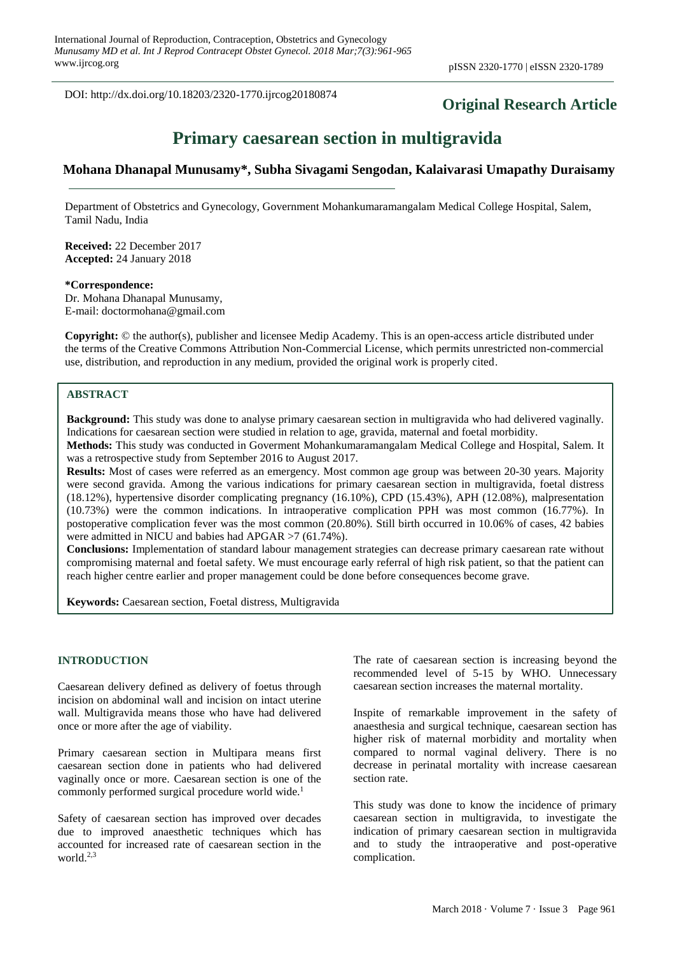DOI: http://dx.doi.org/10.18203/2320-1770.ijrcog20180874

## **Original Research Article**

# **Primary caesarean section in multigravida**

## **Mohana Dhanapal Munusamy\*, Subha Sivagami Sengodan, Kalaivarasi Umapathy Duraisamy**

Department of Obstetrics and Gynecology, Government Mohankumaramangalam Medical College Hospital, Salem, Tamil Nadu, India

**Received:** 22 December 2017 **Accepted:** 24 January 2018

#### **\*Correspondence:**

Dr. Mohana Dhanapal Munusamy, E-mail: doctormohana@gmail.com

**Copyright:** © the author(s), publisher and licensee Medip Academy. This is an open-access article distributed under the terms of the Creative Commons Attribution Non-Commercial License, which permits unrestricted non-commercial use, distribution, and reproduction in any medium, provided the original work is properly cited.

#### **ABSTRACT**

**Background:** This study was done to analyse primary caesarean section in multigravida who had delivered vaginally. Indications for caesarean section were studied in relation to age, gravida, maternal and foetal morbidity. **Methods:** This study was conducted in Goverment Mohankumaramangalam Medical College and Hospital, Salem. It was a retrospective study from September 2016 to August 2017.

**Results:** Most of cases were referred as an emergency. Most common age group was between 20-30 years. Majority were second gravida. Among the various indications for primary caesarean section in multigravida, foetal distress (18.12%), hypertensive disorder complicating pregnancy (16.10%), CPD (15.43%), APH (12.08%), malpresentation (10.73%) were the common indications. In intraoperative complication PPH was most common (16.77%). In postoperative complication fever was the most common (20.80%). Still birth occurred in 10.06% of cases, 42 babies were admitted in NICU and babies had APGAR >7 (61.74%).

**Conclusions:** Implementation of standard labour management strategies can decrease primary caesarean rate without compromising maternal and foetal safety. We must encourage early referral of high risk patient, so that the patient can reach higher centre earlier and proper management could be done before consequences become grave.

**Keywords:** Caesarean section, Foetal distress, Multigravida

#### **INTRODUCTION**

Caesarean delivery defined as delivery of foetus through incision on abdominal wall and incision on intact uterine wall. Multigravida means those who have had delivered once or more after the age of viability.

Primary caesarean section in Multipara means first caesarean section done in patients who had delivered vaginally once or more. Caesarean section is one of the commonly performed surgical procedure world wide. 1

Safety of caesarean section has improved over decades due to improved anaesthetic techniques which has accounted for increased rate of caesarean section in the world. 2,3

The rate of caesarean section is increasing beyond the recommended level of 5-15 by WHO. Unnecessary caesarean section increases the maternal mortality.

Inspite of remarkable improvement in the safety of anaesthesia and surgical technique, caesarean section has higher risk of maternal morbidity and mortality when compared to normal vaginal delivery. There is no decrease in perinatal mortality with increase caesarean section rate.

This study was done to know the incidence of primary caesarean section in multigravida, to investigate the indication of primary caesarean section in multigravida and to study the intraoperative and post-operative complication.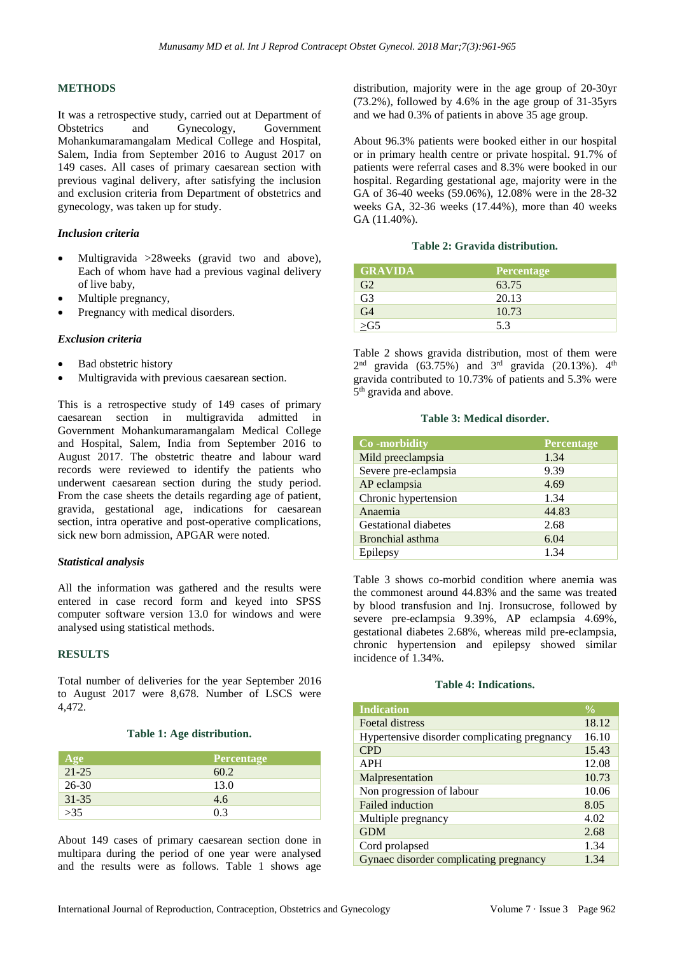#### **METHODS**

It was a retrospective study, carried out at Department of Obstetrics and Gynecology, Government Mohankumaramangalam Medical College and Hospital, Salem, India from September 2016 to August 2017 on 149 cases. All cases of primary caesarean section with previous vaginal delivery, after satisfying the inclusion and exclusion criteria from Department of obstetrics and gynecology, was taken up for study.

#### *Inclusion criteria*

- Multigravida >28weeks (gravid two and above), Each of whom have had a previous vaginal delivery of live baby,
- Multiple pregnancy,
- Pregnancy with medical disorders.

#### *Exclusion criteria*

- Bad obstetric history
- Multigravida with previous caesarean section.

This is a retrospective study of 149 cases of primary caesarean section in multigravida admitted in Government Mohankumaramangalam Medical College and Hospital, Salem, India from September 2016 to August 2017. The obstetric theatre and labour ward records were reviewed to identify the patients who underwent caesarean section during the study period. From the case sheets the details regarding age of patient, gravida, gestational age, indications for caesarean section, intra operative and post-operative complications, sick new born admission, APGAR were noted.

#### *Statistical analysis*

All the information was gathered and the results were entered in case record form and keyed into SPSS computer software version 13.0 for windows and were analysed using statistical methods.

#### **RESULTS**

Total number of deliveries for the year September 2016 to August 2017 were 8,678. Number of LSCS were 4,472.

#### **Table 1: Age distribution.**

| Age       | <b>Percentage</b> |
|-----------|-------------------|
| $21-25$   | 60.2              |
| $26 - 30$ | 13.0              |
| $31 - 35$ | 4.6               |
| >35       | 03                |

About 149 cases of primary caesarean section done in multipara during the period of one year were analysed and the results were as follows. Table 1 shows age

distribution, majority were in the age group of 20-30yr (73.2%), followed by 4.6% in the age group of 31-35yrs and we had 0.3% of patients in above 35 age group.

About 96.3% patients were booked either in our hospital or in primary health centre or private hospital. 91.7% of patients were referral cases and 8.3% were booked in our hospital. Regarding gestational age, majority were in the GA of 36-40 weeks (59.06%), 12.08% were in the 28-32 weeks GA, 32-36 weeks (17.44%), more than 40 weeks GA (11.40%).

#### **Table 2: Gravida distribution.**

| <b>GRAVIDA</b>       | <b>Percentage</b> |
|----------------------|-------------------|
| G2                   | 63.75             |
| $\overline{G3}$      | 20.13             |
| G <sub>4</sub>       | 10.73             |
| $\overline{\geq}$ G5 | 5.3               |

Table 2 shows gravida distribution, most of them were  $2<sup>nd</sup>$  gravida (63.75%) and  $3<sup>rd</sup>$  gravida (20.13%).  $4<sup>th</sup>$ gravida contributed to 10.73% of patients and 5.3% were 5<sup>th</sup> gravida and above.

#### **Table 3: Medical disorder.**

| Co-morbidity                | Percentage |
|-----------------------------|------------|
| Mild preeclampsia           | 1.34       |
| Severe pre-eclampsia        | 9.39       |
| AP eclampsia                | 4.69       |
| Chronic hypertension        | 1.34       |
| Anaemia                     | 44.83      |
| <b>Gestational diabetes</b> | 2.68       |
| <b>Bronchial</b> asthma     | 6.04       |
| Epilepsy                    | 1.34       |

Table 3 shows co-morbid condition where anemia was the commonest around 44.83% and the same was treated by blood transfusion and Inj. Ironsucrose, followed by severe pre-eclampsia 9.39%, AP eclampsia 4.69%, gestational diabetes 2.68%, whereas mild pre-eclampsia, chronic hypertension and epilepsy showed similar incidence of 1.34%.

#### **Table 4: Indications.**

| <b>Indication</b>                            | $\frac{0}{\alpha}$ |
|----------------------------------------------|--------------------|
| <b>Foetal distress</b>                       | 18.12              |
| Hypertensive disorder complicating pregnancy | 16.10              |
| <b>CPD</b>                                   | 15.43              |
| <b>APH</b>                                   | 12.08              |
| Malpresentation                              | 10.73              |
| Non progression of labour                    | 10.06              |
| <b>Failed induction</b>                      | 8.05               |
| Multiple pregnancy                           | 4.02               |
| <b>GDM</b>                                   | 2.68               |
| Cord prolapsed                               | 1.34               |
| Gynaec disorder complicating pregnancy       | 1.34               |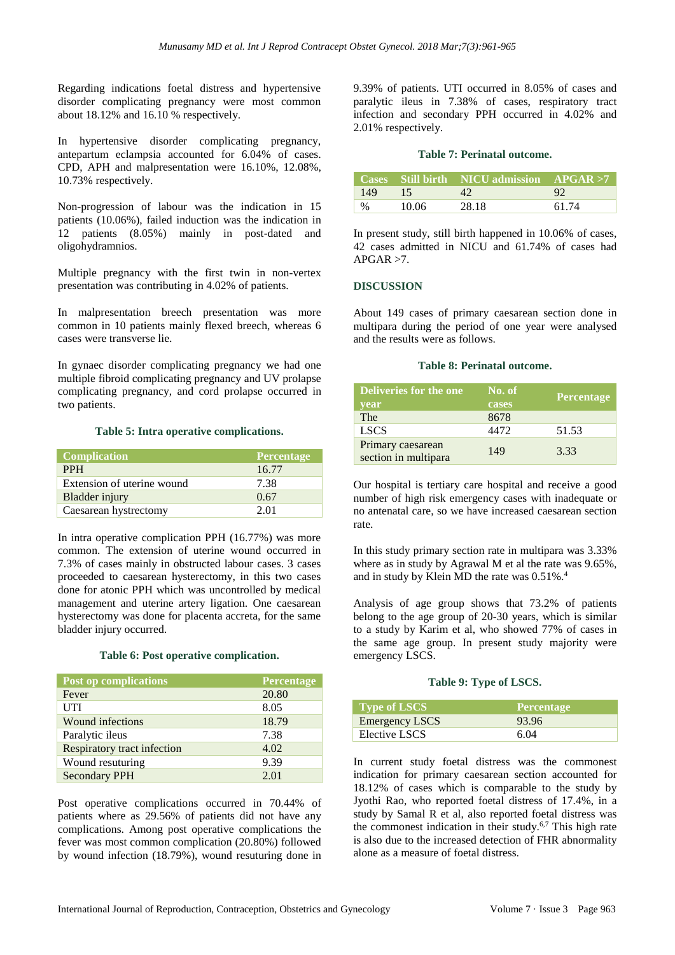Regarding indications foetal distress and hypertensive disorder complicating pregnancy were most common about 18.12% and 16.10 % respectively.

In hypertensive disorder complicating pregnancy, antepartum eclampsia accounted for 6.04% of cases. CPD, APH and malpresentation were 16.10%, 12.08%, 10.73% respectively.

Non-progression of labour was the indication in 15 patients (10.06%), failed induction was the indication in 12 patients (8.05%) mainly in post-dated and oligohydramnios.

Multiple pregnancy with the first twin in non-vertex presentation was contributing in 4.02% of patients.

In malpresentation breech presentation was more common in 10 patients mainly flexed breech, whereas 6 cases were transverse lie.

In gynaec disorder complicating pregnancy we had one multiple fibroid complicating pregnancy and UV prolapse complicating pregnancy, and cord prolapse occurred in two patients.

#### **Table 5: Intra operative complications.**

| <b>Complication</b>        | <b>Percentage</b> |
|----------------------------|-------------------|
| <b>PPH</b>                 | 16.77             |
| Extension of uterine wound | 7.38              |
| Bladder injury             | 0.67              |
| Caesarean hystrectomy      | 2.01              |

In intra operative complication PPH (16.77%) was more common. The extension of uterine wound occurred in 7.3% of cases mainly in obstructed labour cases. 3 cases proceeded to caesarean hysterectomy, in this two cases done for atonic PPH which was uncontrolled by medical management and uterine artery ligation. One caesarean hysterectomy was done for placenta accreta, for the same bladder injury occurred.

#### **Table 6: Post operative complication.**

| <b>Post op complications</b> | <b>Percentage</b> |
|------------------------------|-------------------|
| Fever                        | 20.80             |
| <b>UTI</b>                   | 8.05              |
| Wound infections             | 18.79             |
| Paralytic ileus              | 7.38              |
| Respiratory tract infection  | 4.02              |
| Wound resuturing             | 9.39              |
| <b>Secondary PPH</b>         | 2.01              |

Post operative complications occurred in 70.44% of patients where as 29.56% of patients did not have any complications. Among post operative complications the fever was most common complication (20.80%) followed by wound infection (18.79%), wound resuturing done in 9.39% of patients. UTI occurred in 8.05% of cases and paralytic ileus in 7.38% of cases, respiratory tract infection and secondary PPH occurred in 4.02% and 2.01% respectively.

#### **Table 7: Perinatal outcome.**

|      |       | Cases Still birth NICU admission APGAR>7 |       |
|------|-------|------------------------------------------|-------|
| 149  | 15    |                                          | 92    |
| $\%$ | 10.06 | 28.18                                    | 61.74 |

In present study, still birth happened in 10.06% of cases, 42 cases admitted in NICU and 61.74% of cases had  $APGAR > 7.$ 

#### **DISCUSSION**

About 149 cases of primary caesarean section done in multipara during the period of one year were analysed and the results were as follows.

#### **Table 8: Perinatal outcome.**

| Deliveries for the one<br>year            | No. of<br>cases | <b>Percentage</b> |
|-------------------------------------------|-----------------|-------------------|
| The                                       | 8678            |                   |
| <b>LSCS</b>                               | 4472            | 51.53             |
| Primary caesarean<br>section in multipara | 149             | 3.33              |

Our hospital is tertiary care hospital and receive a good number of high risk emergency cases with inadequate or no antenatal care, so we have increased caesarean section rate.

In this study primary section rate in multipara was 3.33% where as in study by Agrawal M et al the rate was 9.65%, and in study by Klein MD the rate was 0.51%.<sup>4</sup>

Analysis of age group shows that 73.2% of patients belong to the age group of 20-30 years, which is similar to a study by Karim et al, who showed 77% of cases in the same age group. In present study majority were emergency LSCS.

#### **Table 9: Type of LSCS.**

| <b>Type of LSCS</b>   | <b>Percentage</b> |
|-----------------------|-------------------|
| <b>Emergency LSCS</b> | 93.96             |
| Elective LSCS         | 604               |

In current study foetal distress was the commonest indication for primary caesarean section accounted for 18.12% of cases which is comparable to the study by Jyothi Rao, who reported foetal distress of 17.4%, in a study by Samal R et al, also reported foetal distress was the commonest indication in their study.<sup>6,7</sup> This high rate is also due to the increased detection of FHR abnormality alone as a measure of foetal distress.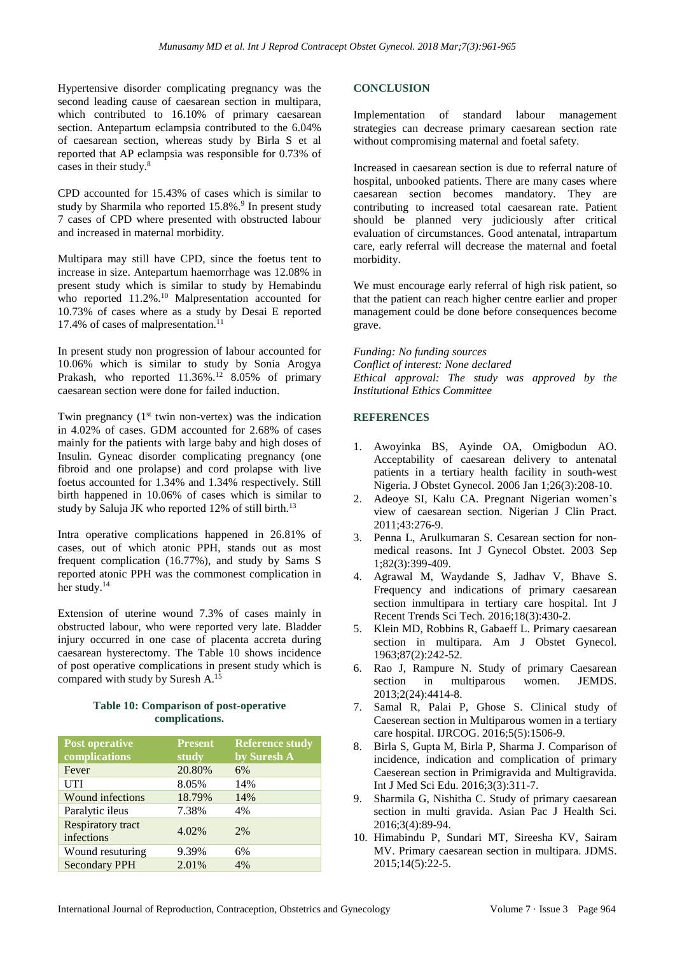Hypertensive disorder complicating pregnancy was the second leading cause of caesarean section in multipara, which contributed to 16.10% of primary caesarean section. Antepartum eclampsia contributed to the 6.04% of caesarean section, whereas study by Birla S et al reported that AP eclampsia was responsible for 0.73% of cases in their study.<sup>8</sup>

CPD accounted for 15.43% of cases which is similar to study by Sharmila who reported 15.8%.<sup>9</sup> In present study 7 cases of CPD where presented with obstructed labour and increased in maternal morbidity.

Multipara may still have CPD, since the foetus tent to increase in size. Antepartum haemorrhage was 12.08% in present study which is similar to study by Hemabindu who reported 11.2%.<sup>10</sup> Malpresentation accounted for 10.73% of cases where as a study by Desai E reported 17.4% of cases of malpresentation.<sup>1</sup>

In present study non progression of labour accounted for 10.06% which is similar to study by Sonia Arogya Prakash, who reported 11.36%.<sup>12</sup> 8.05% of primary caesarean section were done for failed induction.

Twin pregnancy  $(1<sup>st</sup>$  twin non-vertex) was the indication in 4.02% of cases. GDM accounted for 2.68% of cases mainly for the patients with large baby and high doses of Insulin. Gyneac disorder complicating pregnancy (one fibroid and one prolapse) and cord prolapse with live foetus accounted for 1.34% and 1.34% respectively. Still birth happened in 10.06% of cases which is similar to study by Saluja JK who reported 12% of still birth.<sup>13</sup>

Intra operative complications happened in 26.81% of cases, out of which atonic PPH, stands out as most frequent complication (16.77%), and study by Sams S reported atonic PPH was the commonest complication in her study.<sup>14</sup>

Extension of uterine wound 7.3% of cases mainly in obstructed labour, who were reported very late. Bladder injury occurred in one case of placenta accreta during caesarean hysterectomy. The Table 10 shows incidence of post operative complications in present study which is compared with study by Suresh A. 15

#### **Table 10: Comparison of post-operative complications.**

| <b>Post operative</b><br>complications | <b>Present</b><br>study | <b>Reference study</b><br>by Suresh A |
|----------------------------------------|-------------------------|---------------------------------------|
| Fever                                  | 20.80%                  | 6%                                    |
| <b>UTI</b>                             | 8.05%                   | 14%                                   |
| Wound infections                       | 18.79%                  | 14%                                   |
| Paralytic ileus                        | 7.38%                   | 4%                                    |
| <b>Respiratory tract</b><br>infections | 4.02%                   | 2%                                    |
| Wound resuturing                       | 9.39%                   | 6%                                    |
| <b>Secondary PPH</b>                   | 2.01%                   | 4%                                    |

#### **CONCLUSION**

Implementation of standard labour management strategies can decrease primary caesarean section rate without compromising maternal and foetal safety.

Increased in caesarean section is due to referral nature of hospital, unbooked patients. There are many cases where caesarean section becomes mandatory. They are contributing to increased total caesarean rate. Patient should be planned very judiciously after critical evaluation of circumstances. Good antenatal, intrapartum care, early referral will decrease the maternal and foetal morbidity.

We must encourage early referral of high risk patient, so that the patient can reach higher centre earlier and proper management could be done before consequences become grave.

*Funding: No funding sources Conflict of interest: None declared Ethical approval: The study was approved by the Institutional Ethics Committee*

## **REFERENCES**

- 1. Awoyinka BS, Ayinde OA, Omigbodun AO. Acceptability of caesarean delivery to antenatal patients in a tertiary health facility in south-west Nigeria. J Obstet Gynecol. 2006 Jan 1;26(3):208-10.
- 2. Adeoye SI, Kalu CA. Pregnant Nigerian women's view of caesarean section. Nigerian J Clin Pract. 2011;43:276-9.
- 3. Penna L, Arulkumaran S. Cesarean section for non‐ medical reasons. Int J Gynecol Obstet. 2003 Sep 1;82(3):399-409.
- 4. Agrawal M, Waydande S, Jadhav V, Bhave S. Frequency and indications of primary caesarean section inmultipara in tertiary care hospital. Int J Recent Trends Sci Tech. 2016;18(3):430-2.
- 5. Klein MD, Robbins R, Gabaeff L. Primary caesarean section in multipara. Am J Obstet Gynecol. 1963;87(2):242-52.
- 6. Rao J, Rampure N. Study of primary Caesarean section in multiparous women. JEMDS. 2013;2(24):4414-8.
- 7. Samal R, Palai P, Ghose S. Clinical study of Caeserean section in Multiparous women in a tertiary care hospital. IJRCOG. 2016;5(5):1506-9.
- 8. Birla S, Gupta M, Birla P, Sharma J. Comparison of incidence, indication and complication of primary Caeserean section in Primigravida and Multigravida. Int J Med Sci Edu. 2016;3(3):311-7.
- 9. Sharmila G, Nishitha C. Study of primary caesarean section in multi gravida. Asian Pac J Health Sci. 2016;3(4):89-94.
- 10. Himabindu P, Sundari MT, Sireesha KV, Sairam MV. Primary caesarean section in multipara. JDMS. 2015;14(5):22-5.